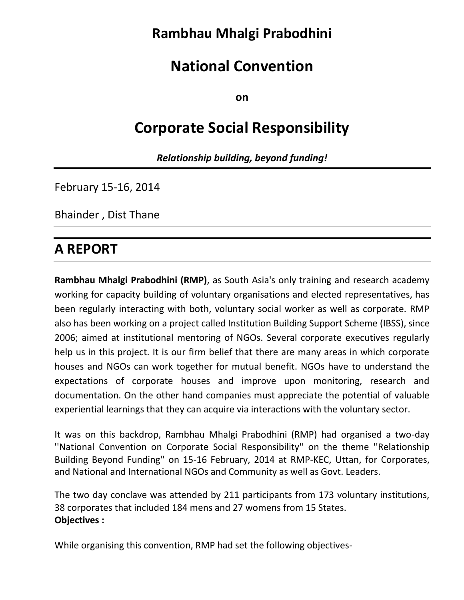# **Rambhau Mhalgi Prabodhini**

# **National Convention**

**on**

# **Corporate Social Responsibility**

*Relationship building, beyond funding!*

February 15-16, 2014

Bhainder , Dist Thane

# **A REPORT**

**Rambhau Mhalgi Prabodhini (RMP)**, as South Asia's only training and research academy working for capacity building of voluntary organisations and elected representatives, has been regularly interacting with both, voluntary social worker as well as corporate. RMP also has been working on a project called Institution Building Support Scheme (IBSS), since 2006; aimed at institutional mentoring of NGOs. Several corporate executives regularly help us in this project. It is our firm belief that there are many areas in which corporate houses and NGOs can work together for mutual benefit. NGOs have to understand the expectations of corporate houses and improve upon monitoring, research and documentation. On the other hand companies must appreciate the potential of valuable experiential learnings that they can acquire via interactions with the voluntary sector.

It was on this backdrop, Rambhau Mhalgi Prabodhini (RMP) had organised a two-day ''National Convention on Corporate Social Responsibility'' on the theme ''Relationship Building Beyond Funding'' on 15-16 February, 2014 at RMP-KEC, Uttan, for Corporates, and National and International NGOs and Community as well as Govt. Leaders.

The two day conclave was attended by 211 participants from 173 voluntary institutions, 38 corporates that included 184 mens and 27 womens from 15 States. **Objectives :** 

While organising this convention, RMP had set the following objectives-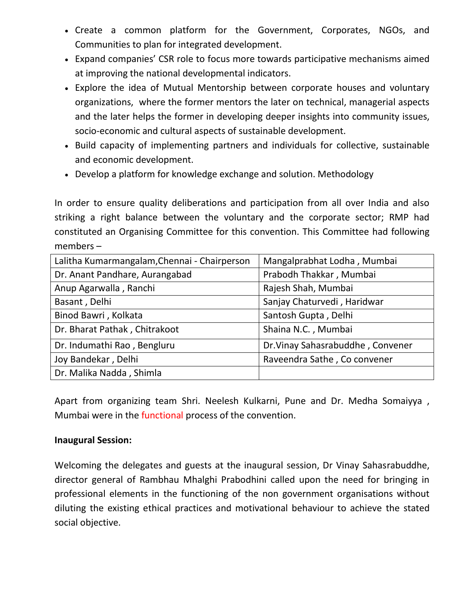- Create a common platform for the Government, Corporates, NGOs, and Communities to plan for integrated development.
- Expand companies' CSR role to focus more towards participative mechanisms aimed at improving the national developmental indicators.
- Explore the idea of Mutual Mentorship between corporate houses and voluntary organizations, where the former mentors the later on technical, managerial aspects and the later helps the former in developing deeper insights into community issues, socio-economic and cultural aspects of sustainable development.
- Build capacity of implementing partners and individuals for collective, sustainable and economic development.
- Develop a platform for knowledge exchange and solution. Methodology

In order to ensure quality deliberations and participation from all over India and also striking a right balance between the voluntary and the corporate sector; RMP had constituted an Organising Committee for this convention. This Committee had following members –

| Lalitha Kumarmangalam, Chennai - Chairperson | Mangalprabhat Lodha, Mumbai       |
|----------------------------------------------|-----------------------------------|
| Dr. Anant Pandhare, Aurangabad               | Prabodh Thakkar, Mumbai           |
| Anup Agarwalla, Ranchi                       | Rajesh Shah, Mumbai               |
| Basant, Delhi                                | Sanjay Chaturvedi, Haridwar       |
| Binod Bawri, Kolkata                         | Santosh Gupta, Delhi              |
| Dr. Bharat Pathak, Chitrakoot                | Shaina N.C., Mumbai               |
| Dr. Indumathi Rao, Bengluru                  | Dr. Vinay Sahasrabuddhe, Convener |
| Joy Bandekar, Delhi                          | Raveendra Sathe, Co convener      |
| Dr. Malika Nadda, Shimla                     |                                   |

Apart from organizing team Shri. Neelesh Kulkarni, Pune and Dr. Medha Somaiyya , Mumbai were in the functional process of the convention.

### **Inaugural Session:**

Welcoming the delegates and guests at the inaugural session, Dr Vinay Sahasrabuddhe, director general of Rambhau Mhalghi Prabodhini called upon the need for bringing in professional elements in the functioning of the non government organisations without diluting the existing ethical practices and motivational behaviour to achieve the stated social objective.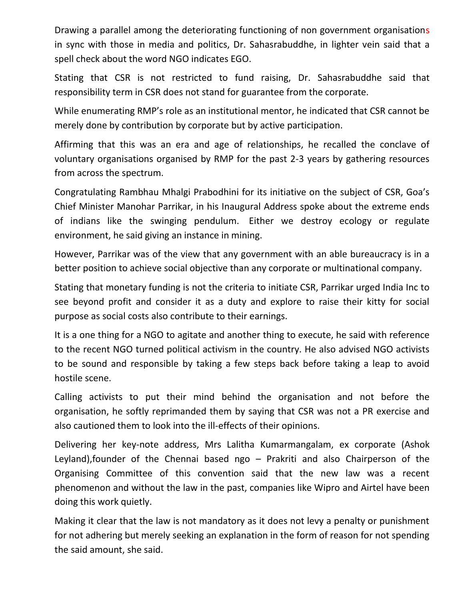Drawing a parallel among the deteriorating functioning of non government organisations in sync with those in media and politics, Dr. Sahasrabuddhe, in lighter vein said that a spell check about the word NGO indicates EGO.

Stating that CSR is not restricted to fund raising, Dr. Sahasrabuddhe said that responsibility term in CSR does not stand for guarantee from the corporate.

While enumerating RMP's role as an institutional mentor, he indicated that CSR cannot be merely done by contribution by corporate but by active participation.

Affirming that this was an era and age of relationships, he recalled the conclave of voluntary organisations organised by RMP for the past 2-3 years by gathering resources from across the spectrum.

Congratulating Rambhau Mhalgi Prabodhini for its initiative on the subject of CSR, Goa's Chief Minister Manohar Parrikar, in his Inaugural Address spoke about the extreme ends of indians like the swinging pendulum. Either we destroy ecology or regulate environment, he said giving an instance in mining.

However, Parrikar was of the view that any government with an able bureaucracy is in a better position to achieve social objective than any corporate or multinational company.

Stating that monetary funding is not the criteria to initiate CSR, Parrikar urged India Inc to see beyond profit and consider it as a duty and explore to raise their kitty for social purpose as social costs also contribute to their earnings.

It is a one thing for a NGO to agitate and another thing to execute, he said with reference to the recent NGO turned political activism in the country. He also advised NGO activists to be sound and responsible by taking a few steps back before taking a leap to avoid hostile scene.

Calling activists to put their mind behind the organisation and not before the organisation, he softly reprimanded them by saying that CSR was not a PR exercise and also cautioned them to look into the ill-effects of their opinions.

Delivering her key-note address, Mrs Lalitha Kumarmangalam, ex corporate (Ashok Leyland),founder of the Chennai based ngo – Prakriti and also Chairperson of the Organising Committee of this convention said that the new law was a recent phenomenon and without the law in the past, companies like Wipro and Airtel have been doing this work quietly.

Making it clear that the law is not mandatory as it does not levy a penalty or punishment for not adhering but merely seeking an explanation in the form of reason for not spending the said amount, she said.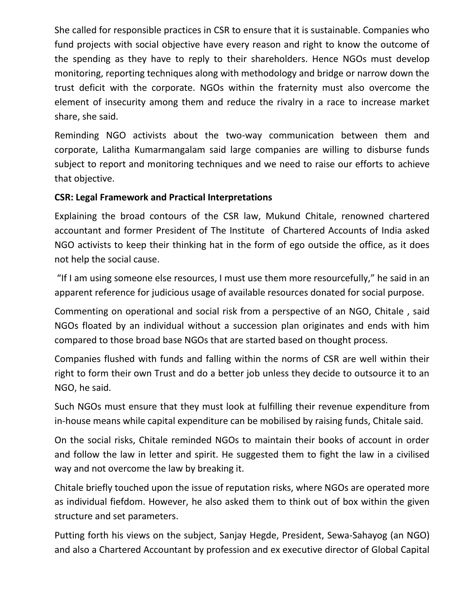She called for responsible practices in CSR to ensure that it is sustainable. Companies who fund projects with social objective have every reason and right to know the outcome of the spending as they have to reply to their shareholders. Hence NGOs must develop monitoring, reporting techniques along with methodology and bridge or narrow down the trust deficit with the corporate. NGOs within the fraternity must also overcome the element of insecurity among them and reduce the rivalry in a race to increase market share, she said.

Reminding NGO activists about the two-way communication between them and corporate, Lalitha Kumarmangalam said large companies are willing to disburse funds subject to report and monitoring techniques and we need to raise our efforts to achieve that objective.

# **CSR: Legal Framework and Practical Interpretations**

Explaining the broad contours of the CSR law, Mukund Chitale, renowned chartered accountant and former President of The Institute of Chartered Accounts of India asked NGO activists to keep their thinking hat in the form of ego outside the office, as it does not help the social cause.

"If I am using someone else resources, I must use them more resourcefully," he said in an apparent reference for judicious usage of available resources donated for social purpose.

Commenting on operational and social risk from a perspective of an NGO, Chitale , said NGOs floated by an individual without a succession plan originates and ends with him compared to those broad base NGOs that are started based on thought process.

Companies flushed with funds and falling within the norms of CSR are well within their right to form their own Trust and do a better job unless they decide to outsource it to an NGO, he said.

Such NGOs must ensure that they must look at fulfilling their revenue expenditure from in-house means while capital expenditure can be mobilised by raising funds, Chitale said.

On the social risks, Chitale reminded NGOs to maintain their books of account in order and follow the law in letter and spirit. He suggested them to fight the law in a civilised way and not overcome the law by breaking it.

Chitale briefly touched upon the issue of reputation risks, where NGOs are operated more as individual fiefdom. However, he also asked them to think out of box within the given structure and set parameters.

Putting forth his views on the subject, Sanjay Hegde, President, Sewa-Sahayog (an NGO) and also a Chartered Accountant by profession and ex executive director of Global Capital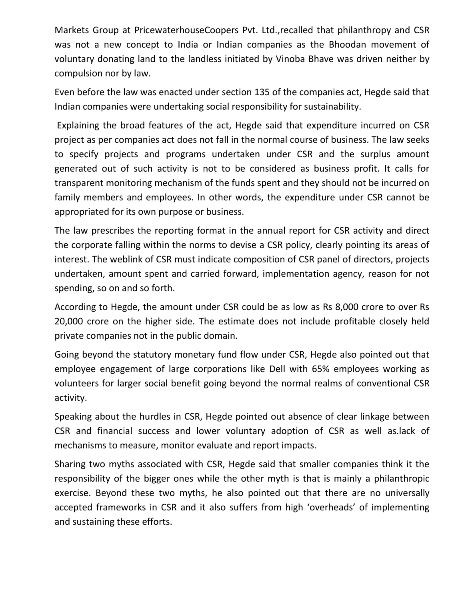Markets Group at PricewaterhouseCoopers Pvt. Ltd.,recalled that philanthropy and CSR was not a new concept to India or Indian companies as the Bhoodan movement of voluntary donating land to the landless initiated by Vinoba Bhave was driven neither by compulsion nor by law.

Even before the law was enacted under section 135 of the companies act, Hegde said that Indian companies were undertaking social responsibility for sustainability.

Explaining the broad features of the act, Hegde said that expenditure incurred on CSR project as per companies act does not fall in the normal course of business. The law seeks to specify projects and programs undertaken under CSR and the surplus amount generated out of such activity is not to be considered as business profit. It calls for transparent monitoring mechanism of the funds spent and they should not be incurred on family members and employees. In other words, the expenditure under CSR cannot be appropriated for its own purpose or business.

The law prescribes the reporting format in the annual report for CSR activity and direct the corporate falling within the norms to devise a CSR policy, clearly pointing its areas of interest. The weblink of CSR must indicate composition of CSR panel of directors, projects undertaken, amount spent and carried forward, implementation agency, reason for not spending, so on and so forth.

According to Hegde, the amount under CSR could be as low as Rs 8,000 crore to over Rs 20,000 crore on the higher side. The estimate does not include profitable closely held private companies not in the public domain.

Going beyond the statutory monetary fund flow under CSR, Hegde also pointed out that employee engagement of large corporations like Dell with 65% employees working as volunteers for larger social benefit going beyond the normal realms of conventional CSR activity.

Speaking about the hurdles in CSR, Hegde pointed out absence of clear linkage between CSR and financial success and lower voluntary adoption of CSR as well as.lack of mechanisms to measure, monitor evaluate and report impacts.

Sharing two myths associated with CSR, Hegde said that smaller companies think it the responsibility of the bigger ones while the other myth is that is mainly a philanthropic exercise. Beyond these two myths, he also pointed out that there are no universally accepted frameworks in CSR and it also suffers from high 'overheads' of implementing and sustaining these efforts.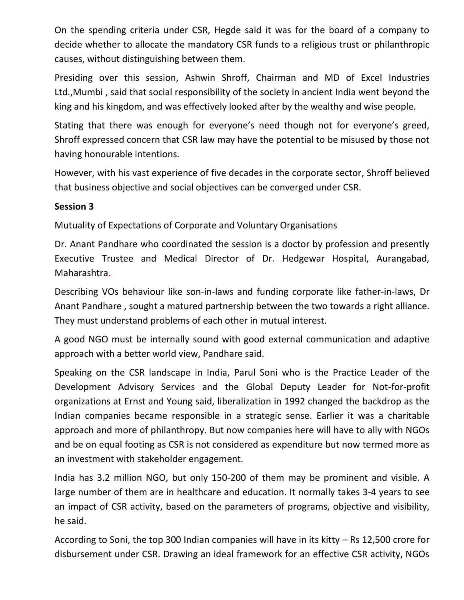On the spending criteria under CSR, Hegde said it was for the board of a company to decide whether to allocate the mandatory CSR funds to a religious trust or philanthropic causes, without distinguishing between them.

Presiding over this session, Ashwin Shroff, Chairman and MD of Excel Industries Ltd.,Mumbi , said that social responsibility of the society in ancient India went beyond the king and his kingdom, and was effectively looked after by the wealthy and wise people.

Stating that there was enough for everyone's need though not for everyone's greed, Shroff expressed concern that CSR law may have the potential to be misused by those not having honourable intentions.

However, with his vast experience of five decades in the corporate sector, Shroff believed that business objective and social objectives can be converged under CSR.

## **Session 3**

Mutuality of Expectations of Corporate and Voluntary Organisations

Dr. Anant Pandhare who coordinated the session is a doctor by profession and presently Executive Trustee and Medical Director of Dr. Hedgewar Hospital, Aurangabad, Maharashtra.

Describing VOs behaviour like son-in-laws and funding corporate like father-in-laws, Dr Anant Pandhare , sought a matured partnership between the two towards a right alliance. They must understand problems of each other in mutual interest.

A good NGO must be internally sound with good external communication and adaptive approach with a better world view, Pandhare said.

Speaking on the CSR landscape in India, Parul Soni who is the Practice Leader of the Development Advisory Services and the Global Deputy Leader for Not-for-profit organizations at Ernst and Young said, liberalization in 1992 changed the backdrop as the Indian companies became responsible in a strategic sense. Earlier it was a charitable approach and more of philanthropy. But now companies here will have to ally with NGOs and be on equal footing as CSR is not considered as expenditure but now termed more as an investment with stakeholder engagement.

India has 3.2 million NGO, but only 150-200 of them may be prominent and visible. A large number of them are in healthcare and education. It normally takes 3-4 years to see an impact of CSR activity, based on the parameters of programs, objective and visibility, he said.

According to Soni, the top 300 Indian companies will have in its kitty – Rs 12,500 crore for disbursement under CSR. Drawing an ideal framework for an effective CSR activity, NGOs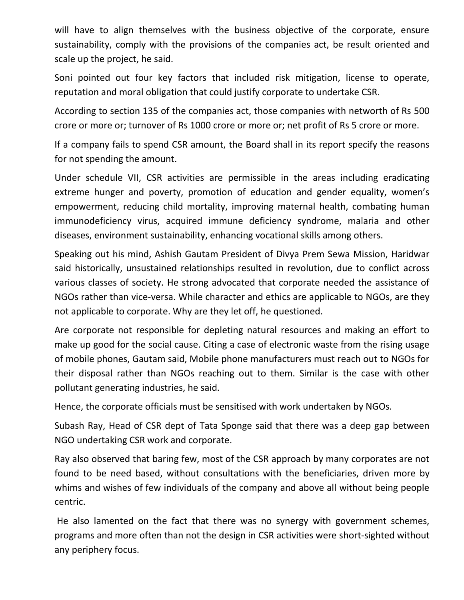will have to align themselves with the business objective of the corporate, ensure sustainability, comply with the provisions of the companies act, be result oriented and scale up the project, he said.

Soni pointed out four key factors that included risk mitigation, license to operate, reputation and moral obligation that could justify corporate to undertake CSR.

According to section 135 of the companies act, those companies with networth of Rs 500 crore or more or; turnover of Rs 1000 crore or more or; net profit of Rs 5 crore or more.

If a company fails to spend CSR amount, the Board shall in its report specify the reasons for not spending the amount.

Under schedule VII, CSR activities are permissible in the areas including eradicating extreme hunger and poverty, promotion of education and gender equality, women's empowerment, reducing child mortality, improving maternal health, combating human immunodeficiency virus, acquired immune deficiency syndrome, malaria and other diseases, environment sustainability, enhancing vocational skills among others.

Speaking out his mind, Ashish Gautam President of Divya Prem Sewa Mission, Haridwar said historically, unsustained relationships resulted in revolution, due to conflict across various classes of society. He strong advocated that corporate needed the assistance of NGOs rather than vice-versa. While character and ethics are applicable to NGOs, are they not applicable to corporate. Why are they let off, he questioned.

Are corporate not responsible for depleting natural resources and making an effort to make up good for the social cause. Citing a case of electronic waste from the rising usage of mobile phones, Gautam said, Mobile phone manufacturers must reach out to NGOs for their disposal rather than NGOs reaching out to them. Similar is the case with other pollutant generating industries, he said.

Hence, the corporate officials must be sensitised with work undertaken by NGOs.

Subash Ray, Head of CSR dept of Tata Sponge said that there was a deep gap between NGO undertaking CSR work and corporate.

Ray also observed that baring few, most of the CSR approach by many corporates are not found to be need based, without consultations with the beneficiaries, driven more by whims and wishes of few individuals of the company and above all without being people centric.

He also lamented on the fact that there was no synergy with government schemes, programs and more often than not the design in CSR activities were short-sighted without any periphery focus.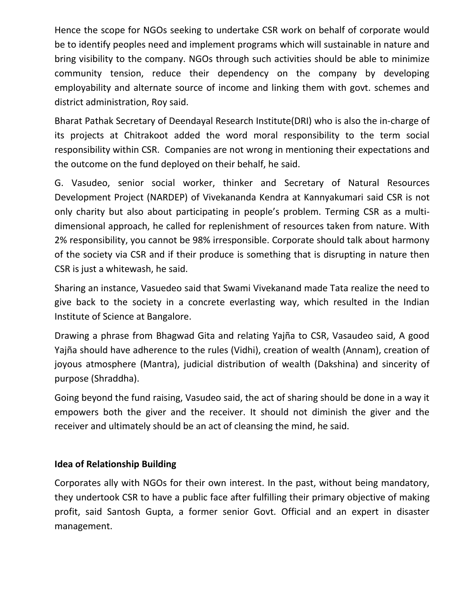Hence the scope for NGOs seeking to undertake CSR work on behalf of corporate would be to identify peoples need and implement programs which will sustainable in nature and bring visibility to the company. NGOs through such activities should be able to minimize community tension, reduce their dependency on the company by developing employability and alternate source of income and linking them with govt. schemes and district administration, Roy said.

Bharat Pathak Secretary of Deendayal Research Institute(DRI) who is also the in-charge of its projects at Chitrakoot added the word moral responsibility to the term social responsibility within CSR. Companies are not wrong in mentioning their expectations and the outcome on the fund deployed on their behalf, he said.

G. Vasudeo, senior social worker, thinker and Secretary of Natural Resources Development Project (NARDEP) of Vivekananda Kendra at Kannyakumari said CSR is not only charity but also about participating in people's problem. Terming CSR as a multidimensional approach, he called for replenishment of resources taken from nature. With 2% responsibility, you cannot be 98% irresponsible. Corporate should talk about harmony of the society via CSR and if their produce is something that is disrupting in nature then CSR is just a whitewash, he said.

Sharing an instance, Vasuedeo said that Swami Vivekanand made Tata realize the need to give back to the society in a concrete everlasting way, which resulted in the Indian Institute of Science at Bangalore.

Drawing a phrase from Bhagwad Gita and relating Yajña to CSR, Vasaudeo said, A good Yajña should have adherence to the rules (Vidhi), creation of wealth (Annam), creation of joyous atmosphere (Mantra), judicial distribution of wealth (Dakshina) and sincerity of purpose (Shraddha).

Going beyond the fund raising, Vasudeo said, the act of sharing should be done in a way it empowers both the giver and the receiver. It should not diminish the giver and the receiver and ultimately should be an act of cleansing the mind, he said.

### **Idea of Relationship Building**

Corporates ally with NGOs for their own interest. In the past, without being mandatory, they undertook CSR to have a public face after fulfilling their primary objective of making profit, said Santosh Gupta, a former senior Govt. Official and an expert in disaster management.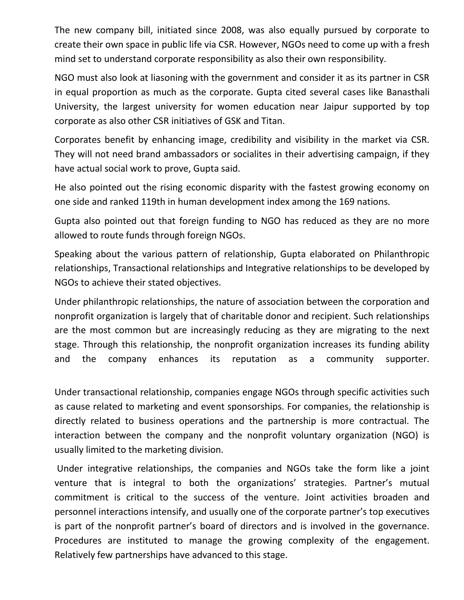The new company bill, initiated since 2008, was also equally pursued by corporate to create their own space in public life via CSR. However, NGOs need to come up with a fresh mind set to understand corporate responsibility as also their own responsibility.

NGO must also look at liasoning with the government and consider it as its partner in CSR in equal proportion as much as the corporate. Gupta cited several cases like Banasthali University, the largest university for women education near Jaipur supported by top corporate as also other CSR initiatives of GSK and Titan.

Corporates benefit by enhancing image, credibility and visibility in the market via CSR. They will not need brand ambassadors or socialites in their advertising campaign, if they have actual social work to prove, Gupta said.

He also pointed out the rising economic disparity with the fastest growing economy on one side and ranked 119th in human development index among the 169 nations.

Gupta also pointed out that foreign funding to NGO has reduced as they are no more allowed to route funds through foreign NGOs.

Speaking about the various pattern of relationship, Gupta elaborated on Philanthropic relationships, Transactional relationships and Integrative relationships to be developed by NGOs to achieve their stated objectives.

Under philanthropic relationships, the nature of association between the corporation and nonprofit organization is largely that of charitable donor and recipient. Such relationships are the most common but are increasingly reducing as they are migrating to the next stage. Through this relationship, the nonprofit organization increases its funding ability and the company enhances its reputation as a community supporter.

Under transactional relationship, companies engage NGOs through specific activities such as cause related to marketing and event sponsorships. For companies, the relationship is directly related to business operations and the partnership is more contractual. The interaction between the company and the nonprofit voluntary organization (NGO) is usually limited to the marketing division.

Under integrative relationships, the companies and NGOs take the form like a joint venture that is integral to both the organizations' strategies. Partner's mutual commitment is critical to the success of the venture. Joint activities broaden and personnel interactions intensify, and usually one of the corporate partner's top executives is part of the nonprofit partner's board of directors and is involved in the governance. Procedures are instituted to manage the growing complexity of the engagement. Relatively few partnerships have advanced to this stage.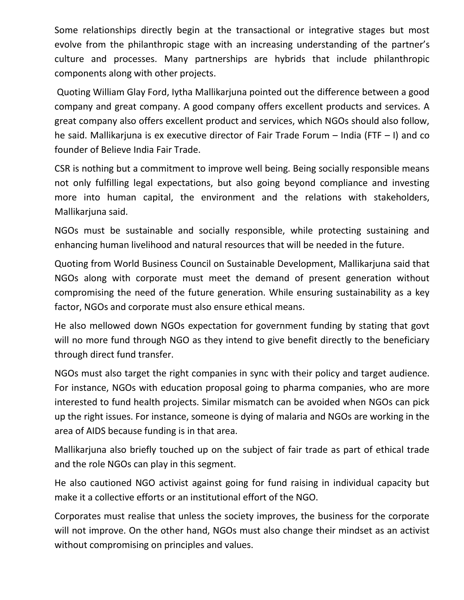Some relationships directly begin at the transactional or integrative stages but most evolve from the philanthropic stage with an increasing understanding of the partner's culture and processes. Many partnerships are hybrids that include philanthropic components along with other projects.

Quoting William Glay Ford, Iytha Mallikarjuna pointed out the difference between a good company and great company. A good company offers excellent products and services. A great company also offers excellent product and services, which NGOs should also follow, he said. Mallikarjuna is ex executive director of Fair Trade Forum – India (FTF – I) and co founder of Believe India Fair Trade.

CSR is nothing but a commitment to improve well being. Being socially responsible means not only fulfilling legal expectations, but also going beyond compliance and investing more into human capital, the environment and the relations with stakeholders, Mallikarjuna said.

NGOs must be sustainable and socially responsible, while protecting sustaining and enhancing human livelihood and natural resources that will be needed in the future.

Quoting from World Business Council on Sustainable Development, Mallikarjuna said that NGOs along with corporate must meet the demand of present generation without compromising the need of the future generation. While ensuring sustainability as a key factor, NGOs and corporate must also ensure ethical means.

He also mellowed down NGOs expectation for government funding by stating that govt will no more fund through NGO as they intend to give benefit directly to the beneficiary through direct fund transfer.

NGOs must also target the right companies in sync with their policy and target audience. For instance, NGOs with education proposal going to pharma companies, who are more interested to fund health projects. Similar mismatch can be avoided when NGOs can pick up the right issues. For instance, someone is dying of malaria and NGOs are working in the area of AIDS because funding is in that area.

Mallikarjuna also briefly touched up on the subject of fair trade as part of ethical trade and the role NGOs can play in this segment.

He also cautioned NGO activist against going for fund raising in individual capacity but make it a collective efforts or an institutional effort of the NGO.

Corporates must realise that unless the society improves, the business for the corporate will not improve. On the other hand, NGOs must also change their mindset as an activist without compromising on principles and values.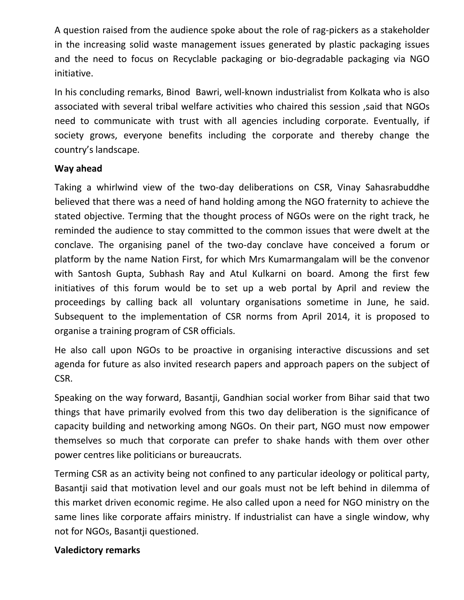A question raised from the audience spoke about the role of rag-pickers as a stakeholder in the increasing solid waste management issues generated by plastic packaging issues and the need to focus on Recyclable packaging or bio-degradable packaging via NGO initiative.

In his concluding remarks, Binod Bawri, well-known industrialist from Kolkata who is also associated with several tribal welfare activities who chaired this session ,said that NGOs need to communicate with trust with all agencies including corporate. Eventually, if society grows, everyone benefits including the corporate and thereby change the country's landscape.

## **Way ahead**

Taking a whirlwind view of the two-day deliberations on CSR, Vinay Sahasrabuddhe believed that there was a need of hand holding among the NGO fraternity to achieve the stated objective. Terming that the thought process of NGOs were on the right track, he reminded the audience to stay committed to the common issues that were dwelt at the conclave. The organising panel of the two-day conclave have conceived a forum or platform by the name Nation First, for which Mrs Kumarmangalam will be the convenor with Santosh Gupta, Subhash Ray and Atul Kulkarni on board. Among the first few initiatives of this forum would be to set up a web portal by April and review the proceedings by calling back all voluntary organisations sometime in June, he said. Subsequent to the implementation of CSR norms from April 2014, it is proposed to organise a training program of CSR officials.

He also call upon NGOs to be proactive in organising interactive discussions and set agenda for future as also invited research papers and approach papers on the subject of CSR.

Speaking on the way forward, Basantji, Gandhian social worker from Bihar said that two things that have primarily evolved from this two day deliberation is the significance of capacity building and networking among NGOs. On their part, NGO must now empower themselves so much that corporate can prefer to shake hands with them over other power centres like politicians or bureaucrats.

Terming CSR as an activity being not confined to any particular ideology or political party, Basantji said that motivation level and our goals must not be left behind in dilemma of this market driven economic regime. He also called upon a need for NGO ministry on the same lines like corporate affairs ministry. If industrialist can have a single window, why not for NGOs, Basantji questioned.

### **Valedictory remarks**